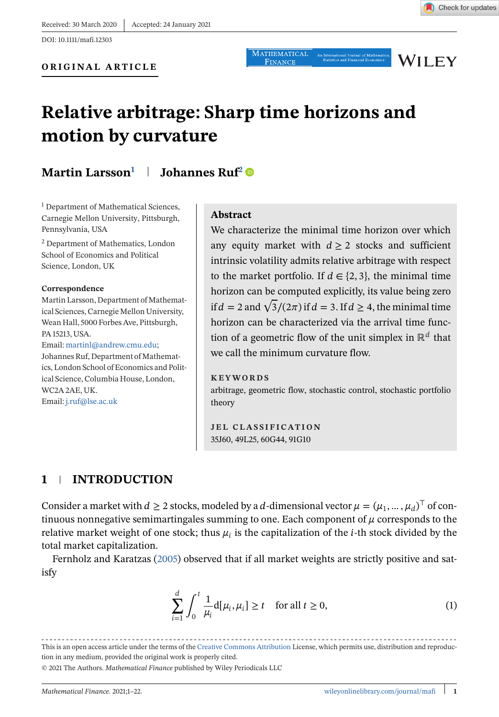<span id="page-0-0"></span>DOI: 10.1111/mafi.12303

**WILEY** 

# **Relative arbitrage: Sharp time horizons and motion by curvature**

# **Martin Larsson1 Johannes Ruf<sup>2</sup>**

<sup>1</sup> Department of Mathematical Sciences, Carnegie Mellon University, Pittsburgh, Pennsylvania, USA

<sup>2</sup> Department of Mathematics, London School of Economics and Political Science, London, UK

#### **Correspondence**

Martin Larsson, Department of Mathematical Sciences, Carnegie Mellon University, Wean Hall, 5000 Forbes Ave, Pittsburgh, PA 15213, USA. Email: [martinl@andrew.cmu.edu;](mailto:martinl@andrew.cmu.edu) Johannes Ruf, Department of Mathematics, London School of Economics and Political Science, Columbia House, London,

WC2A 2AE, UK.

Email: [j.ruf@lse.ac.uk](mailto:j.ruf@lse.ac.uk)

#### **Abstract**

We characterize the minimal time horizon over which any equity market with  $d \geq 2$  stocks and sufficient intrinsic volatility admits relative arbitrage with respect to the market portfolio. If  $d \in \{2, 3\}$ , the minimal time horizon can be computed explicitly, its value being zero if  $d = 2$  and  $\sqrt{3}/(2\pi)$  if  $d = 3$ . If  $d \geq 4$ , the minimal time horizon can be characterized via the arrival time function of a geometric flow of the unit simplex in  $\mathbb{R}^d$  that we call the minimum curvature flow.

#### **KEYWORDS**

arbitrage, geometric flow, stochastic control, stochastic portfolio theory

**JEL CLASSIFICATION** 35J60, 49L25, 60G44, 91G10

# **1 INTRODUCTION**

Consider a market with  $d \ge 2$  stocks, modeled by a d-dimensional vector  $\mu = (\mu_1, ..., \mu_d)^\top$  of continuous nonnegative semimartingales summing to one. Each component of  $\mu$  corresponds to the relative market weight of one stock; thus  $\mu_i$  is the capitalization of the *i*-th stock divided by the total market capitalization.

Fernholz and Karatzas [\(2005\)](#page-21-0) observed that if all market weights are strictly positive and satisfy

$$
\sum_{i=1}^{d} \int_0^t \frac{1}{\mu_i} d[\mu_i, \mu_i] \ge t \quad \text{for all } t \ge 0,
$$
\n(1)

This is an open access article under the terms of the [Creative Commons Attribution](http://creativecommons.org/licenses/by/4.0/) License, which permits use, distribution and reproduction in any medium, provided the original work is properly cited.

© 2021 The Authors. *Mathematical Finance* published by Wiley Periodicals LLC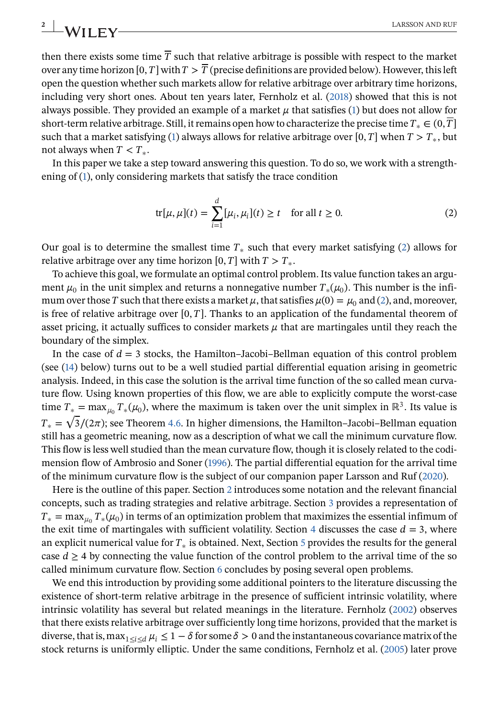then there exists some time  $\overline{T}$  such that relative arbitrage is possible with respect to the market over any time horizon [0, T] with  $T > \overline{T}$  (precise definitions are provided below). However, this left open the question whether such markets allow for relative arbitrage over arbitrary time horizons, including very short ones. About ten years later, Fernholz et al. [\(2018\)](#page-21-0) showed that this is not always possible. They provided an example of a market  $\mu$  that satisfies [\(1\)](#page-0-0) but does not allow for short-term relative arbitrage. Still, it remains open how to characterize the precise time  $T_* \in (0, \overline{T}]$ such that a market satisfying [\(1\)](#page-0-0) always allows for relative arbitrage over [0, T] when  $T > T_*$ , but not always when  $T < T_*$ .

In this paper we take a step toward answering this question. To do so, we work with a strengthening of [\(1\)](#page-0-0), only considering markets that satisfy the trace condition

$$
\text{tr}[\mu, \mu](t) = \sum_{i=1}^{d} [\mu_i, \mu_i](t) \ge t \quad \text{for all } t \ge 0.
$$
 (2)

Our goal is to determine the smallest time  $T_*$  such that every market satisfying (2) allows for relative arbitrage over any time horizon [0, T] with  $T > T_*$ .

To achieve this goal, we formulate an optimal control problem. Its value function takes an argument  $\mu_0$  in the unit simplex and returns a nonnegative number  $T_*(\mu_0)$ . This number is the infimum over those T such that there exists a market  $\mu$ , that satisfies  $\mu(0) = \mu_0$  and (2), and, moreover, is free of relative arbitrage over  $[0, T]$ . Thanks to an application of the fundamental theorem of asset pricing, it actually suffices to consider markets  $\mu$  that are martingales until they reach the boundary of the simplex.

In the case of  $d = 3$  stocks, the Hamilton–Jacobi–Bellman equation of this control problem (see [\(14\)](#page-8-0) below) turns out to be a well studied partial differential equation arising in geometric analysis. Indeed, in this case the solution is the arrival time function of the so called mean curvature flow. Using known properties of this flow, we are able to explicitly compute the worst-case time  $T_* = \max_{\mu_0} T_*(\mu_0)$ , where the maximum is taken over the unit simplex in ℝ<sup>3</sup>. Its value is the  $T_* = \frac{\max_{\mu_0} T_* (\mu_0)}{2\pi}$ , where the maximum is taken over the unit simplex in  $\kappa$ . Its value is  $T_* = \frac{\sqrt{3}}{2\pi}$ ; see Theorem [4.6.](#page-16-0) In higher dimensions, the Hamilton–Jacobi–Bellman equation still has a geometric meaning, now as a description of what we call the minimum curvature flow. This flow is less well studied than the mean curvature flow, though it is closely related to the codimension flow of Ambrosio and Soner [\(1996\)](#page-20-0). The partial differential equation for the arrival time of the minimum curvature flow is the subject of our companion paper Larsson and Ruf [\(2020\)](#page-21-0).

Here is the outline of this paper. Section [2](#page-2-0) introduces some notation and the relevant financial concepts, such as trading strategies and relative arbitrage. Section [3](#page-4-0) provides a representation of  $T_* = \max_{\mu_0} T_*(\mu_0)$  in terms of an optimization problem that maximizes the essential infimum of the exit time of martingales with sufficient volatility. Section [4](#page-5-0) discusses the case  $d = 3$ , where an explicit numerical value for  $T_*$  is obtained. Next, Section [5](#page-16-0) provides the results for the general case  $d \geq 4$  by connecting the value function of the control problem to the arrival time of the so called minimum curvature flow. Section [6](#page-19-0) concludes by posing several open problems.

We end this introduction by providing some additional pointers to the literature discussing the existence of short-term relative arbitrage in the presence of sufficient intrinsic volatility, where intrinsic volatility has several but related meanings in the literature. Fernholz [\(2002\)](#page-21-0) observes that there exists relative arbitrage over sufficiently long time horizons, provided that the market is diverse, that is, max<sub>1≤i≤d</sub>  $\mu_i \leq 1-\delta$  for some  $\delta > 0$  and the instantaneous covariance matrix of the stock returns is uniformly elliptic. Under the same conditions, Fernholz et al. [\(2005\)](#page-21-0) later prove

<span id="page-1-0"></span>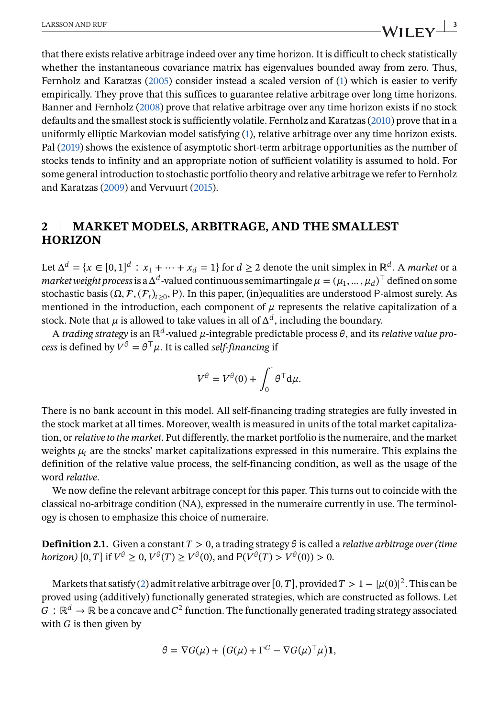<span id="page-2-0"></span>that there exists relative arbitrage indeed over any time horizon. It is difficult to check statistically whether the instantaneous covariance matrix has eigenvalues bounded away from zero. Thus, Fernholz and Karatzas [\(2005\)](#page-21-0) consider instead a scaled version of [\(1\)](#page-0-0) which is easier to verify empirically. They prove that this suffices to guarantee relative arbitrage over long time horizons. Banner and Fernholz [\(2008\)](#page-20-0) prove that relative arbitrage over any time horizon exists if no stock defaults and the smallest stock is sufficiently volatile. Fernholz and Karatzas [\(2010\)](#page-21-0) prove that in a uniformly elliptic Markovian model satisfying [\(1\)](#page-0-0), relative arbitrage over any time horizon exists. Pal [\(2019\)](#page-21-0) shows the existence of asymptotic short-term arbitrage opportunities as the number of stocks tends to infinity and an appropriate notion of sufficient volatility is assumed to hold. For some general introduction to stochastic portfolio theory and relative arbitrage we refer to Fernholz and Karatzas [\(2009\)](#page-21-0) and Vervuurt [\(2015\)](#page-21-0).

# **2 MARKET MODELS, ARBITRAGE, AND THE SMALLEST HORIZON**

Let  $\Delta^d = \{x \in [0,1]^d : x_1 + \cdots + x_d = 1\}$  for  $d \ge 2$  denote the unit simplex in  $\mathbb{R}^d$ . A *market* or a *market weight process* is a  $\Delta^d$ -valued continuous semimartingale  $\mu = (\mu_1, ..., \mu_d)^\top$  defined on some stochastic basis ( $\Omega$ ,  $\mathcal{F}$ ,  $(\mathcal{F}_t)_{t>0}$ , P). In this paper, (in)equalities are understood P-almost surely. As mentioned in the introduction, each component of  $\mu$  represents the relative capitalization of a stock. Note that  $\mu$  is allowed to take values in all of  $\Delta^d$ , including the boundary.

A *trading strategy* is an  $\mathbb{R}^d$ -valued  $\mu$ -integrable predictable process  $\theta$ , and its *relative value process* is defined by  $V^{\theta} = \theta^{\top} \mu$ . It is called *self-financing* if

$$
V^{\theta} = V^{\theta}(0) + \int_0^{\cdot} \theta^{\top} d\mu.
$$

There is no bank account in this model. All self-financing trading strategies are fully invested in the stock market at all times. Moreover, wealth is measured in units of the total market capitalization, or*relative to the market*. Put differently, the market portfolio is the numeraire, and the market weights  $\mu_i$  are the stocks' market capitalizations expressed in this numeraire. This explains the definition of the relative value process, the self-financing condition, as well as the usage of the word *relative*.

We now define the relevant arbitrage concept for this paper. This turns out to coincide with the classical no-arbitrage condition (NA), expressed in the numeraire currently in use. The terminology is chosen to emphasize this choice of numeraire.

**Definition 2.1.** Given a constant  $T > 0$ , a trading strategy  $\theta$  is called a *relative arbitrage over (time horizon*)  $[0, T]$  if  $V^{\theta} \ge 0$ ,  $V^{\theta}(T) \ge V^{\theta}(0)$ , and  $P(V^{\theta}(T) > V^{\theta}(0)) > 0$ .

Markets that satisfy [\(2\)](#page-1-0) admit relative arbitrage over [0, T], provided  $T > 1 - |\mu(0)|^2$ . This can be proved using (additively) functionally generated strategies, which are constructed as follows. Let  $G: \mathbb{R}^d \to \mathbb{R}$  be a concave and  $C^2$  function. The functionally generated trading strategy associated with  $G$  is then given by

$$
\theta = \nabla G(\mu) + (G(\mu) + \Gamma^G - \nabla G(\mu)^T \mu)\mathbf{1},
$$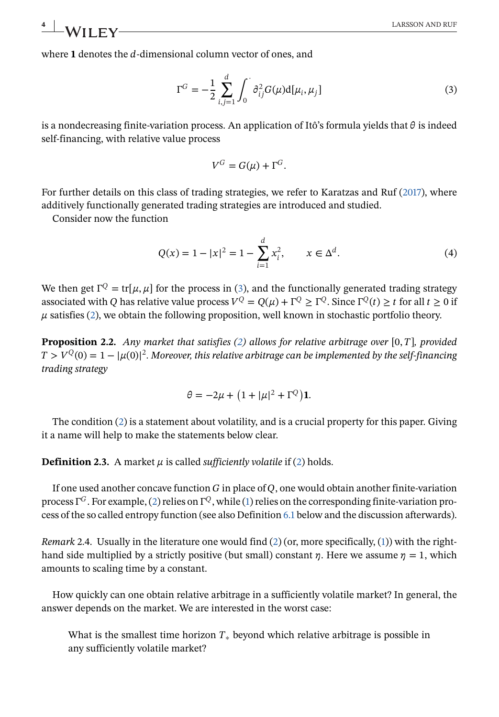<span id="page-3-0"></span>where 1 denotes the  $d$ -dimensional column vector of ones, and

$$
\Gamma^{G} = -\frac{1}{2} \sum_{i,j=1}^{d} \int_{0}^{1} \partial_{ij}^{2} G(\mu) d[\mu_{i}, \mu_{j}]
$$
 (3)

is a nondecreasing finite-variation process. An application of Itô's formula yields that  $\theta$  is indeed self-financing, with relative value process

$$
V^G = G(\mu) + \Gamma^G.
$$

For further details on this class of trading strategies, we refer to Karatzas and Ruf [\(2017\)](#page-21-0), where additively functionally generated trading strategies are introduced and studied.

Consider now the function

$$
Q(x) = 1 - |x|^2 = 1 - \sum_{i=1}^{d} x_i^2, \qquad x \in \Delta^d.
$$
 (4)

We then get  $\Gamma^Q = \text{tr}[\mu, \mu]$  for the process in (3), and the functionally generated trading strategy associated with O has relative value process  $V^{Q} = O(\mu) + \Gamma^{Q} > \Gamma^{Q}$ . Since  $\Gamma^{Q}(t) > t$  for all  $t > 0$  if  $\mu$  satisfies [\(2\)](#page-1-0), we obtain the following proposition, well known in stochastic portfolio theory.

**Proposition 2.2.** *Any market that satisfies [\(2\)](#page-1-0) allows for relative arbitrage over* [0,  $T$ ], provided  $T > V^{\mathrm{Q}}(0) = 1 - |\mu(0)|^2.$  Moreover, this relative arbitrage can be implemented by the self-financing *trading strategy*

$$
\theta = -2\mu + \left(1 + |\mu|^2 + \Gamma^Q\right)\mathbf{1}.
$$

The condition [\(2\)](#page-1-0) is a statement about volatility, and is a crucial property for this paper. Giving it a name will help to make the statements below clear.

**Definition 2.3.** A market  $\mu$  is called *sufficiently volatile* if [\(2\)](#page-1-0) holds.

If one used another concave function  $G$  in place of  $Q$ , one would obtain another finite-variation process  $\Gamma^G$ . For example, [\(2\)](#page-1-0) relies on  $\Gamma^Q$ , while [\(1\)](#page-0-0) relies on the corresponding finite-variation process of the so called entropy function (see also Definition [6.1](#page-19-0) below and the discussion afterwards).

*Remark* 2.4. Usually in the literature one would find [\(2\)](#page-1-0) (or, more specifically, [\(1\)](#page-0-0)) with the righthand side multiplied by a strictly positive (but small) constant  $\eta$ . Here we assume  $\eta = 1$ , which amounts to scaling time by a constant.

How quickly can one obtain relative arbitrage in a sufficiently volatile market? In general, the answer depends on the market. We are interested in the worst case:

What is the smallest time horizon  $T_*$  beyond which relative arbitrage is possible in any sufficiently volatile market?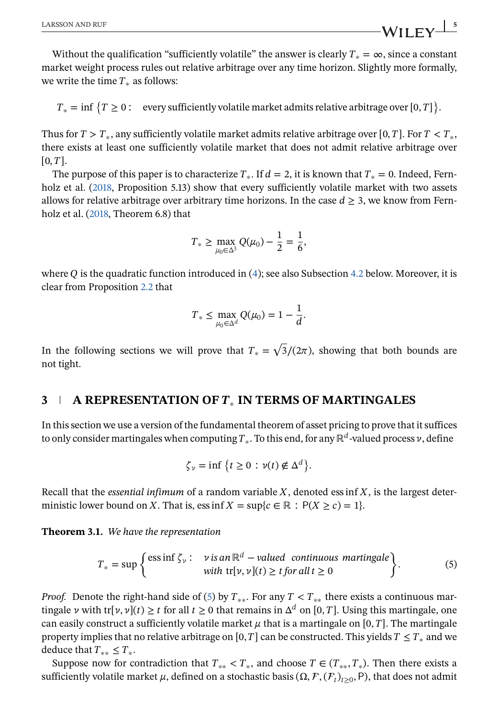<span id="page-4-0"></span>Without the qualification "sufficiently volatile" the answer is clearly  $T_* = \infty$ , since a constant market weight process rules out relative arbitrage over any time horizon. Slightly more formally, we write the time  $T_*$  as follows:

 $T_* = \inf \big\{ T \geq 0 : \text{every sufficiently volatile market admits relative arbitrage over } [0,T] \big\}.$ 

Thus for  $T > T_*$ , any sufficiently volatile market admits relative arbitrage over [0, T]. For  $T < T_*$ , there exists at least one sufficiently volatile market that does not admit relative arbitrage over  $[0, T]$ .

The purpose of this paper is to characterize  $T_*$ . If  $d = 2$ , it is known that  $T_* = 0$ . Indeed, Fern-holz et al. [\(2018,](#page-21-0) Proposition 5.13) show that every sufficiently volatile market with two assets allows for relative arbitrage over arbitrary time horizons. In the case  $d \geq 3$ , we know from Fernholz et al. [\(2018,](#page-21-0) Theorem 6.8) that

$$
T_* \ge \max_{\mu_0 \in \Delta^3} Q(\mu_0) - \frac{1}{2} = \frac{1}{6},
$$

where Q is the quadratic function introduced in [\(4\)](#page-3-0); see also Subsection [4.2](#page-7-0) below. Moreover, it is clear from Proposition [2.2](#page-3-0) that

$$
T_* \leq \max_{\mu_0 \in \Delta^d} Q(\mu_0) = 1 - \frac{1}{d}.
$$

In the following sections we will prove that  $T_* = \sqrt{3}/(2\pi)$ , showing that both bounds are not tight.

## **3 A REPRESENTATION OF** ∗ **IN TERMS OF MARTINGALES**

In this section we use a version of the fundamental theorem of asset pricing to prove that it suffices to only consider martingales when computing  $T_*$ . To this end, for any ℝ<sup>d</sup>-valued process  $\nu$ , define

$$
\zeta_{\nu} = \inf \left\{ t \ge 0 : \nu(t) \notin \Delta^d \right\}.
$$

Recall that the *essential infimum* of a random variable  $X$ , denoted ess inf  $X$ , is the largest deterministic lower bound on X. That is, ess inf  $X = \sup\{c \in \mathbb{R} : P(X \ge c) = 1\}.$ 

**Theorem 3.1.** *We have the representation*

$$
T_* = \sup \left\{ \begin{matrix} \text{ess inf } \zeta_{\nu} : \quad \nu \text{ is an } \mathbb{R}^d - \text{valued continuous martingale} \\ \text{with } \text{tr}[\nu, \nu](t) \ge t \text{ for all } t \ge 0 \end{matrix} \right\}. \tag{5}
$$

*Proof.* Denote the right-hand side of (5) by  $T_{**}$ . For any  $T < T_{**}$  there exists a continuous martingale  $\nu$  with tr[ $\nu$ ,  $\nu$ ](t)  $\geq t$  for all  $t \geq 0$  that remains in  $\Delta^d$  on [0, T]. Using this martingale, one can easily construct a sufficiently volatile market  $\mu$  that is a martingale on [0, T]. The martingale property implies that no relative arbitrage on [0, T] can be constructed. This yields  $T \leq T_*$  and we deduce that  $T_{**} \leq T_*$ .

Suppose now for contradiction that  $T_{**} < T_*$ , and choose  $T \in (T_{**}, T_*)$ . Then there exists a sufficiently volatile market  $\mu$ , defined on a stochastic basis ( $\Omega$ ,  $\mathcal{F}$ ,  $(\mathcal{F}_t)_{t>0}$ , P), that does not admit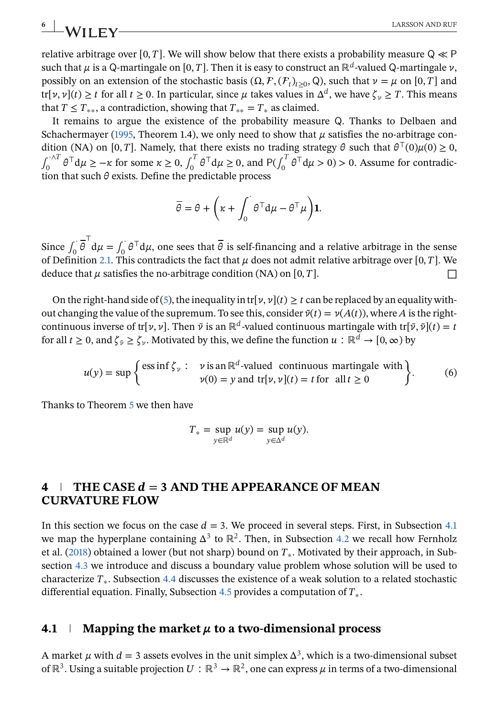relative arbitrage over [0, T]. We will show below that there exists a probability measure  $Q \ll P$ such that  $\mu$  is a Q-martingale on [0, T]. Then it is easy to construct an  $\mathbb{R}^d$ -valued Q-martingale  $\nu$ , possibly on an extension of the stochastic basis  $(\Omega, \mathcal{F}, (\mathcal{F}_t)_{t>0}, \mathbb{Q})$ , such that  $\nu = \mu$  on [0, T] and tr[ $\nu, \nu$ ](t)  $\geq t$  for all  $t \geq 0$ . In particular, since  $\mu$  takes values in  $\Delta^d$ , we have  $\zeta_{\nu} \geq T$ . This means that  $T \leq T_{**}$ , a contradiction, showing that  $T_{**} = T_*$  as claimed.

It remains to argue the existence of the probability measure Q. Thanks to Delbaen and Schachermayer [\(1995,](#page-20-0) Theorem 1.4), we only need to show that  $\mu$  satisfies the no-arbitrage condition (NA) on [0, T]. Namely, that there exists no trading strategy  $\theta$  such that  $\theta^{\top}(0)\mu(0) \geq 0$ ,  $\int_0^{\sqrt{T}} \theta^\top d\mu \geq -\kappa$  for some  $\kappa \geq 0$ ,  $\int_0^T \theta^\top d\mu \geq 0$ , and  $P(\int_0^T \theta^\top d\mu > 0) > 0$ . Assume for contradiction that such  $\theta$  exists. Define the predictable process

$$
\overline{\theta} = \theta + \left(\kappa + \int_0^{\cdot} \theta^{\top} d\mu - \theta^{\top} \mu\right) \mathbf{1}.
$$

Since  $\int_0^{\cdot} \overline{\theta}^{\top} d\mu = \int_0^{\cdot} \theta^{\top} d\mu$ , one sees that  $\overline{\theta}$  is self-financing and a relative arbitrage in the sense of Definition [2.1.](#page-2-0) This contradicts the fact that  $\mu$  does not admit relative arbitrage over [0, T]. We deduce that  $\mu$  satisfies the no-arbitrage condition (NA) on [0, T].

On the right-hand side of [\(5\)](#page-4-0), the inequality in tr[ $\nu$ ,  $\nu$ ]( $t$ )  $\geq t$  can be replaced by an equality without changing the value of the supremum. To see this, consider  $\tilde{\nu}(t) = \nu(A(t))$ , where A is the rightcontinuous inverse of tr[ $\nu$ ,  $\nu$ ]. Then  $\tilde{\nu}$  is an ℝ<sup>d</sup>-valued continuous martingale with tr[ $\tilde{\nu}$ ,  $\tilde{\nu}$ ](t) = t for all  $t \ge 0$ , and  $\zeta_{\tilde{v}} \ge \zeta_{v}$ . Motivated by this, we define the function  $u : \mathbb{R}^d \to [0, \infty)$  by

$$
u(y) = \sup \left\{ \frac{\text{ess inf } \zeta_y : \quad v \text{ is an } \mathbb{R}^d\text{-valued continuous martingale with}}{v(0) = y \text{ and } \text{tr}[v, v](t) = t \text{ for all } t \ge 0} \right\}.
$$
 (6)

Thanks to Theorem [5](#page-4-0) we then have

$$
T_* = \sup_{y \in \mathbb{R}^d} u(y) = \sup_{y \in \Delta^d} u(y).
$$

# **4**  $\top$  THE CASE  $d = 3$  AND THE APPEARANCE OF MEAN **CURVATURE FLOW**

In this section we focus on the case  $d = 3$ . We proceed in several steps. First, in Subsection 4.1 we map the hyperplane containing  $\Delta^3$  to  $\mathbb{R}^2$ . Then, in Subsection [4.2](#page-7-0) we recall how Fernholz et al. [\(2018\)](#page-21-0) obtained a lower (but not sharp) bound on  $T_*$ . Motivated by their approach, in Subsection [4.3](#page-8-0) we introduce and discuss a boundary value problem whose solution will be used to characterize  $T_*$ . Subsection [4.4](#page-11-0) discusses the existence of a weak solution to a related stochastic differential equation. Finally, Subsection [4.5](#page-13-0) provides a computation of  $T_*$ .

#### **4.1 Mapping the market**  $\mu$  to a two-dimensional process

A market  $\mu$  with  $d=3$  assets evolves in the unit simplex  $\Delta^3$ , which is a two-dimensional subset of ℝ<sup>3</sup>. Using a suitable projection  $U:\mathbb{R}^3\to\mathbb{R}^2$ , one can express  $\mu$  in terms of a two-dimensional

<span id="page-5-0"></span>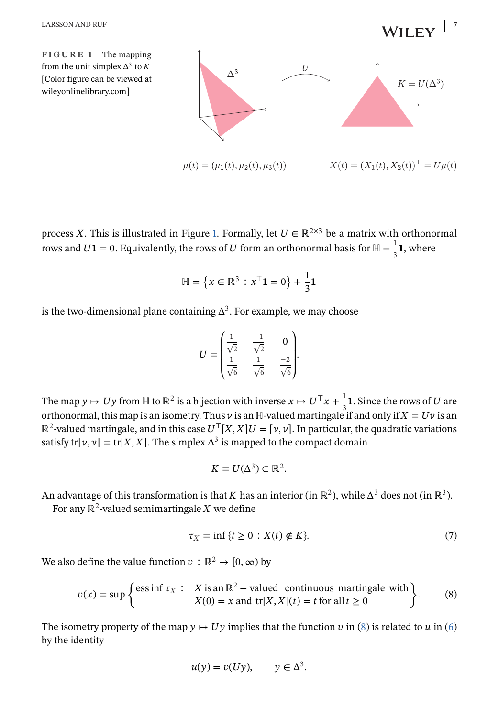<span id="page-6-0"></span>

process X. This is illustrated in Figure 1. Formally, let  $U \in \mathbb{R}^{2 \times 3}$  be a matrix with orthonormal rows and  $U$ 1 = 0. Equivalently, the rows of  $U$  form an orthonormal basis for  $H - \frac{1}{3}$ **1**, where

$$
\mathbb{H} = \left\{ x \in \mathbb{R}^3 : x^{\top} \mathbf{1} = 0 \right\} + \frac{1}{3} \mathbf{1}
$$

is the two-dimensional plane containing  $\Delta^3$ . For example, we may choose

$$
U = \begin{pmatrix} \frac{1}{\sqrt{2}} & \frac{-1}{\sqrt{2}} & 0\\ \frac{1}{\sqrt{6}} & \frac{1}{\sqrt{6}} & \frac{-2}{\sqrt{6}} \end{pmatrix}
$$

The map  $y \mapsto Uy$  from  $H$  to  $\mathbb{R}^2$  is a bijection with inverse  $x \mapsto U^{\top} x + \frac{1}{3}$  $\frac{1}{3}$ **1**. Since the rows of *U* are orthonormal, this map is an isometry. Thus  $\nu$  is an ℍ-valued martingale if and only if  $X=U\nu$  is an  $\mathbb{R}^2$ -valued martingale, and in this case  $U^{\top}[X, X]U = [\nu, \nu]$ . In particular, the quadratic variations satisfy tr[ $\nu$ ,  $\nu$ ] = tr[X, X]. The simplex  $\Delta^3$  is mapped to the compact domain

$$
K=U(\Delta^3)\subset\mathbb{R}^2.
$$

An advantage of this transformation is that K has an interior (in  $\mathbb{R}^2$ ), while  $\Delta^3$  does not (in  $\mathbb{R}^3$ ). For any  $\mathbb{R}^2$ -valued semimartingale X we define

$$
\tau_X = \inf \{ t \ge 0 : X(t) \notin K \}. \tag{7}
$$

We also define the value function  $v : \mathbb{R}^2 \to [0, \infty)$  by

$$
v(x) = \sup \begin{cases} \text{ess inf } \tau_X : & X \text{ is an } \mathbb{R}^2 - \text{valued continuous martingale with} \\ X(0) = x \text{ and } \text{tr}[X, X](t) = t \text{ for all } t \ge 0 \end{cases}
$$
 (8)

The isometry property of the map  $y \mapsto Uy$  implies that the function v in (8) is related to u in [\(6\)](#page-5-0) by the identity

$$
u(y) = v(Uy), \qquad y \in \Delta^3.
$$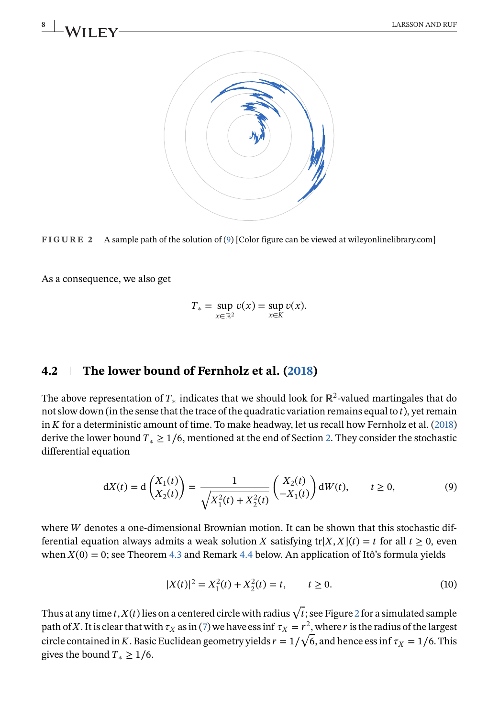<span id="page-7-0"></span>



As a consequence, we also get

$$
T_* = \sup_{x \in \mathbb{R}^2} v(x) = \sup_{x \in K} v(x).
$$

# **4.2 The lower bound of Fernholz et al. [\(2018\)](#page-21-0)**

The above representation of  $T_*$  indicates that we should look for  $\mathbb{R}^2$ -valued martingales that do not slow down (in the sense that the trace of the quadratic variation remains equal to  $t$ ), yet remain in  $K$  for a deterministic amount of time. To make headway, let us recall how Fernholz et al. [\(2018\)](#page-21-0) derive the lower bound  $T_* \geq 1/6$ , mentioned at the end of Section [2.](#page-2-0) They consider the stochastic differential equation

$$
dX(t) = d\begin{pmatrix} X_1(t) \\ X_2(t) \end{pmatrix} = \frac{1}{\sqrt{X_1^2(t) + X_2^2(t)}} \begin{pmatrix} X_2(t) \\ -X_1(t) \end{pmatrix} dW(t), \qquad t \ge 0,
$$
 (9)

where  $W$  denotes a one-dimensional Brownian motion. It can be shown that this stochastic differential equation always admits a weak solution X satisfying tr[X, X](t) = t for all  $t \ge 0$ , even when  $X(0) = 0$ ; see Theorem [4.3](#page-11-0) and Remark [4.4](#page-13-0) below. An application of Itô's formula yields

$$
|X(t)|^2 = X_1^2(t) + X_2^2(t) = t, \qquad t \ge 0.
$$
 (10)

Thus at any time  $t$ ,  $X(t)$  lies on a centered circle with radius  $\sqrt{t}$ ; see Figure 2 for a simulated sample path of X. It is clear that with  $\tau_X$  as in [\(7\)](#page-6-0) we have ess inf  $\tau_X = r^2$ , where r is the radius of the largest path of x . It is clear that with  $\tau_X$  as in (7) we have ess inf  $\tau_X = r^2$ , where r is the radius of the largest<br>circle contained in K. Basic Euclidean geometry yields  $r=1/\sqrt{6}$ , and hence ess inf  $\tau_X=1/6$ . This gives the bound  $T_* > 1/6$ .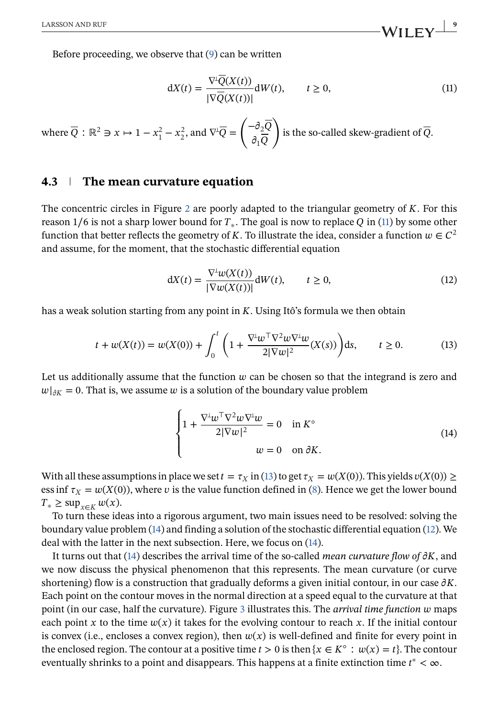<span id="page-8-0"></span>Before proceeding, we observe that [\(9\)](#page-7-0) can be written

$$
dX(t) = \frac{\nabla^{L}\overline{Q}(X(t))}{|\nabla\overline{Q}(X(t))|}dW(t), \qquad t \ge 0,
$$
\n(11)

where  $\overline{Q}$  :  $\mathbb{R}^2 \ni x \mapsto 1 - x_1^2 - x_2^2$ , and  $\nabla^{\perp} \overline{Q} = \left( \begin{array}{c} 0 & \text{if } 0 \leq x \leq 1 \\ 0 & \text{if } 0 \leq x \leq 1 \end{array} \right)$  $-\partial_2 Q$  $\partial_1 Q$  $\mathbf{r}$ is the so-called skew-gradient of  $Q$ .

#### **4.3 The mean curvature equation**

The concentric circles in Figure [2](#page-7-0) are poorly adapted to the triangular geometry of  $K$ . For this reason 1/6 is not a sharp lower bound for  $T_*$ . The goal is now to replace Q in (11) by some other function that better reflects the geometry of K. To illustrate the idea, consider a function  $w \in C^2$ and assume, for the moment, that the stochastic differential equation

$$
dX(t) = \frac{\nabla^{\perp} w(X(t))}{|\nabla w(X(t))|} dW(t), \qquad t \ge 0,
$$
\n(12)

has a weak solution starting from any point in  $K$ . Using Itô's formula we then obtain

$$
t + w(X(t)) = w(X(0)) + \int_0^t \left( 1 + \frac{\nabla^{\perp} w^{\top} \nabla^2 w \nabla^{\perp} w}{2|\nabla w|^2} (X(s)) \right) ds, \qquad t \ge 0.
$$
 (13)

Let us additionally assume that the function  $w$  can be chosen so that the integrand is zero and  $|w|_{\partial K} = 0$ . That is, we assume w is a solution of the boundary value problem

$$
\begin{cases} 1 + \frac{\nabla^{\perp} w^{\top} \nabla^{2} w \nabla^{\perp} w}{2|\nabla w|^{2}} = 0 & \text{in } K^{\circ} \\ w = 0 & \text{on } \partial K. \end{cases}
$$
(14)

With all these assumptions in place we set  $t = \tau_X$  in (13) to get  $\tau_X = w(X(0))$ . This yields  $v(X(0)) \ge$ ess inf  $\tau_X = w(X(0))$ , where v is the value function defined in [\(8\)](#page-6-0). Hence we get the lower bound  $T_* \ge \sup_{x \in K} w(x)$ .

To turn these ideas into a rigorous argument, two main issues need to be resolved: solving the boundary value problem (14) and finding a solution of the stochastic differential equation (12). We deal with the latter in the next subsection. Here, we focus on (14).

It turns out that  $(14)$  describes the arrival time of the so-called *mean curvature flow of*  $\partial K$ , and we now discuss the physical phenomenon that this represents. The mean curvature (or curve shortening) flow is a construction that gradually deforms a given initial contour, in our case  $\partial K$ . Each point on the contour moves in the normal direction at a speed equal to the curvature at that point (in our case, half the curvature). Figure [3](#page-9-0) illustrates this. The *arrival time function* maps each point x to the time  $w(x)$  it takes for the evolving contour to reach x. If the initial contour is convex (i.e., encloses a convex region), then  $w(x)$  is well-defined and finite for every point in the enclosed region. The contour at a positive time  $t > 0$  is then  $\{x \in K^{\circ} : w(x) = t\}$ . The contour eventually shrinks to a point and disappears. This happens at a finite extinction time  $t^* < \infty$ .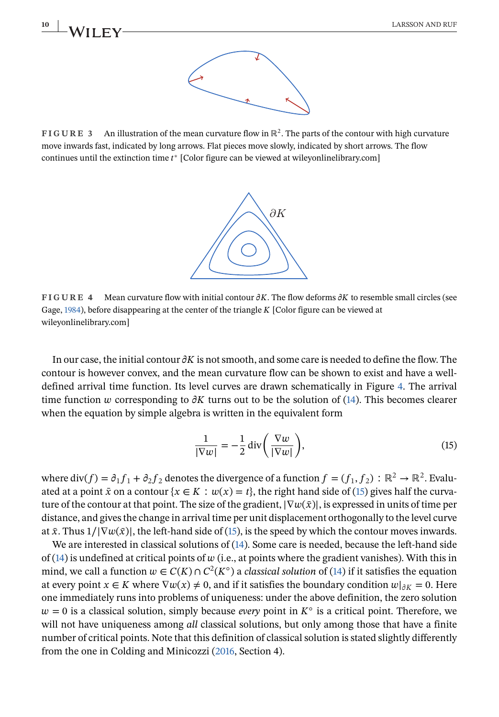<span id="page-9-0"></span>**10** LARSSON AND RUF



**FIGURE 3** An illustration of the mean curvature flow in ℝ<sup>2</sup>. The parts of the contour with high curvature move inwards fast, indicated by long arrows. Flat pieces move slowly, indicated by short arrows. The flow continues until the extinction time  $t^*$  [Color figure can be viewed at wileyonlinelibrary.com]



**FIGURE 4** Mean curvature flow with initial contour  $\partial K$ . The flow deforms  $\partial K$  to resemble small circles (see Gage, [1984\)](#page-21-0), before disappearing at the center of the triangle  $K$  [Color figure can be viewed at wileyonlinelibrary.com]

In our case, the initial contour  $\partial K$  is not smooth, and some care is needed to define the flow. The contour is however convex, and the mean curvature flow can be shown to exist and have a welldefined arrival time function. Its level curves are drawn schematically in Figure 4. The arrival time function w corresponding to  $\partial K$  turns out to be the solution of [\(14\)](#page-8-0). This becomes clearer when the equation by simple algebra is written in the equivalent form

$$
\frac{1}{|\nabla w|} = -\frac{1}{2} \operatorname{div} \left( \frac{\nabla w}{|\nabla w|} \right),\tag{15}
$$

where div(f) =  $\partial_1 f_1 + \partial_2 f_2$  denotes the divergence of a function  $f = (f_1, f_2): \mathbb{R}^2 \to \mathbb{R}^2$ . Evaluated at a point  $\bar{x}$  on a contour  $\{x \in K : w(x) = t\}$ , the right hand side of (15) gives half the curvature of the contour at that point. The size of the gradient,  $|\nabla w(\bar{x})|$ , is expressed in units of time per distance, and gives the change in arrival time per unit displacement orthogonally to the level curve at  $\bar{x}$ . Thus  $1/|\nabla w(\bar{x})|$ , the left-hand side of (15), is the speed by which the contour moves inwards.

We are interested in classical solutions of [\(14\)](#page-8-0). Some care is needed, because the left-hand side of  $(14)$  is undefined at critical points of  $w$  (i.e., at points where the gradient vanishes). With this in mind, we call a function  $w \in C(K) \cap C^2(K^{\circ})$  a *classical solution* of [\(14\)](#page-8-0) if it satisfies the equation at every point  $x \in K$  where  $\nabla w(x) \neq 0$ , and if it satisfies the boundary condition  $w|_{\partial K} = 0$ . Here one immediately runs into problems of uniqueness: under the above definition, the zero solution  $w = 0$  is a classical solution, simply because *every* point in  $K^{\circ}$  is a critical point. Therefore, we will not have uniqueness among *all* classical solutions, but only among those that have a finite number of critical points. Note that this definition of classical solution is stated slightly differently from the one in Colding and Minicozzi [\(2016,](#page-20-0) Section 4).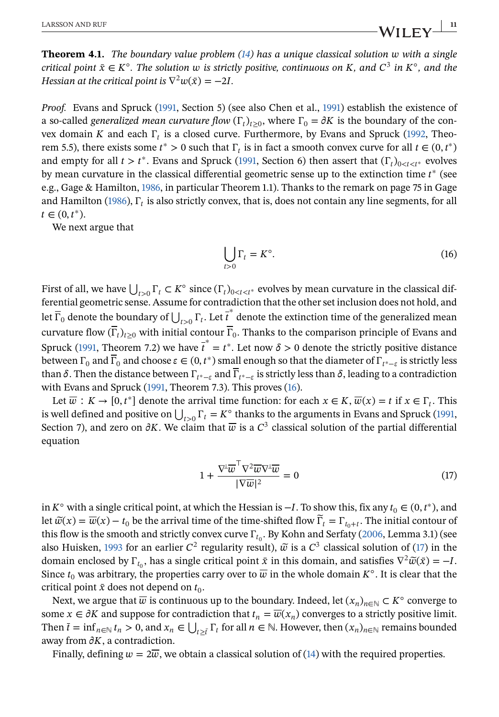<span id="page-10-0"></span>**Theorem 4.1.** *The boundary value problem [\(14\)](#page-8-0) has a unique classical solution with a single critical point*  $\bar{x} \in K^{\circ}$ *. The solution w is strictly positive, continuous on K, and*  $C^3$  *in*  $K^{\circ}$ *, and the Hessian at the critical point is*  $\nabla^2 w(\bar{x}) = -2I$ .

*Proof.* Evans and Spruck [\(1991,](#page-20-0) Section 5) (see also Chen et al., [1991\)](#page-20-0) establish the existence of a so-called *generalized mean curvature flow*  $(\Gamma_t)_{t>0}$ , where  $\Gamma_0 = \partial K$  is the boundary of the convex domain K and each  $\Gamma_t$  is a closed curve. Furthermore, by Evans and Spruck [\(1992,](#page-20-0) Theorem 5.5), there exists some  $t^* > 0$  such that  $\Gamma_t$  is in fact a smooth convex curve for all  $t \in (0, t^*)$ and empty for all  $t > t^*$ . Evans and Spruck [\(1991,](#page-20-0) Section 6) then assert that  $(\Gamma_t)_{0 \le t \le t^*}$  evolves by mean curvature in the classical differential geometric sense up to the extinction time  $t^*$  (see e.g., Gage & Hamilton, [1986,](#page-21-0) in particular Theorem 1.1). Thanks to the remark on page 75 in Gage and Hamilton [\(1986\)](#page-21-0),  $\Gamma_t$  is also strictly convex, that is, does not contain any line segments, for all  $t \in (0, t^*)$ .

We next argue that

$$
\bigcup_{t>0} \Gamma_t = K^\circ. \tag{16}
$$

First of all, we have  $\bigcup_{t>0} \Gamma_t \subset K^{\circ}$  since  $(\Gamma_t)_{0\leq t\leq t^*}$  evolves by mean curvature in the classical differential geometric sense. Assume for contradiction that the other set inclusion does not hold, and Let  $\overline{\Gamma}_0$  denote the boundary of  $\bigcup_{t>0} \Gamma_t$ . Let  $\overline{t}^*$  denote the extinction time of the generalized mean curvature flow  $(\overline{\Gamma}_t)_{t>0}$  with initial contour  $\overline{\Gamma}_0$ . Thanks to the comparison principle of Evans and Spruck [\(1991,](#page-20-0) Theorem 7.2) we have  $\overline{t}^* = t^*$ . Let now  $\delta > 0$  denote the strictly positive distance between  $\Gamma_0$  and  $\overline{\Gamma}_0$  and choose  $\varepsilon \in (0, t^*)$  small enough so that the diameter of  $\Gamma_{t^*-\varepsilon}$  is strictly less than  $\delta$ . Then the distance between  $\Gamma_{t^*-\epsilon}$  and  $\overline{\Gamma}_{t^*-\epsilon}$  is strictly less than  $\delta$ , leading to a contradiction with Evans and Spruck [\(1991,](#page-20-0) Theorem 7.3). This proves (16).

Let  $\overline{w}: K \to [0, t^*]$  denote the arrival time function: for each  $x \in K$ ,  $\overline{w}(x) = t$  if  $x \in \Gamma_t$ . This Let  $\omega : K \to [0, t]$  denote the arrival time function. For each  $x \in K$ ,  $\omega(x) = t$  if  $x \in T_t$ . This is well defined and positive on  $\bigcup_{t>0} \Gamma_t = K^\circ$  thanks to the arguments in Evans and Spruck [\(1991,](#page-20-0) Section 7), and zero on  $\partial K$ . We claim that  $\overline{w}$  is a  $C^3$  classical solution of the partial differential equation

$$
1 + \frac{\nabla^{\perp} \overline{\boldsymbol{w}}^{\top} \nabla^2 \overline{\boldsymbol{w}} \nabla^{\perp} \overline{\boldsymbol{w}}}{|\nabla \overline{\boldsymbol{w}}|^2} = 0
$$
\n(17)

in  $K^{\circ}$  with a single critical point, at which the Hessian is  $-I$ . To show this, fix any  $t_0 \in (0, t^*)$ , and let  $\widetilde{w}(x) = \overline{w}(x) - t_0$  be the arrival time of the time-shifted flow  $\widetilde{\Gamma}_t = \Gamma_{t_0+t}$ . The initial contour of this flow is the smooth and strictly convex curve  $\Gamma_{t_0}$ . By Kohn and Serfaty [\(2006,](#page-21-0) Lemma 3.1) (see also Huisken, [1993](#page-21-0) for an earlier  $C^2$  regularity result),  $\tilde{\omega}$  is a  $C^3$  classical solution of (17) in the domain enclosed by  $\Gamma_{t_0}$ , has a single critical point  $\bar{x}$  in this domain, and satisfies  $\nabla^2 \tilde{w}(\bar{x}) = -I$ . Since  $t_0$  was arbitrary, the properties carry over to  $\overline{w}$  in the whole domain  $K^{\circ}$ . It is clear that the critical point  $\bar{x}$  does not depend on  $t_0$ .

Next, we argue that  $\overline{w}$  is continuous up to the boundary. Indeed, let  $(x_n)_{n\in\mathbb{N}}\subset K^\circ$  converge to some  $x \in \partial K$  and suppose for contradiction that  $t_n = \overline{w}(x_n)$  converges to a strictly positive limit. Some  $x \in oK$  and suppose for contradiction that  $i_n = w(x_n)$  converges to a strictly positive film.<br>Then  $\bar{t} = \inf_{n \in \mathbb{N}} t_n > 0$ , and  $x_n \in \bigcup_{t \geq \bar{t}} \Gamma_t$  for all  $n \in \mathbb{N}$ . However, then  $(x_n)_{n \in \mathbb{N}}$  remains bounde away from  $\partial K$ , a contradiction.

Finally, defining  $w=2\overline{w}$ , we obtain a classical solution of [\(14\)](#page-8-0) with the required properties.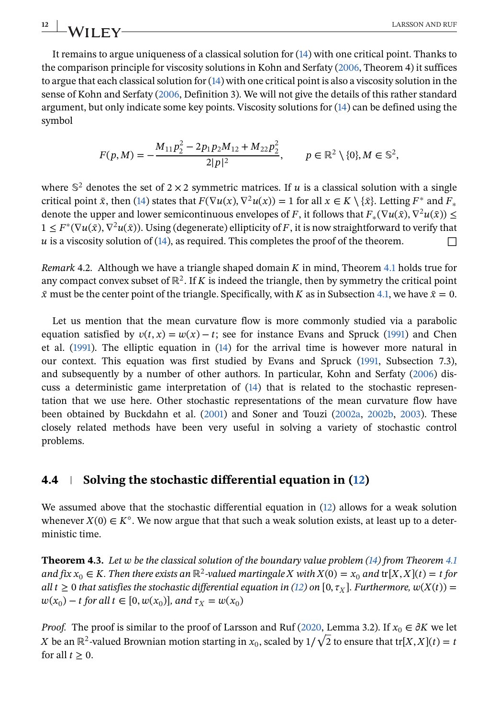<span id="page-11-0"></span>It remains to argue uniqueness of a classical solution for [\(14\)](#page-8-0) with one critical point. Thanks to the comparison principle for viscosity solutions in Kohn and Serfaty [\(2006,](#page-21-0) Theorem 4) it suffices to argue that each classical solution for [\(14\)](#page-8-0) with one critical point is also a viscosity solution in the sense of Kohn and Serfaty [\(2006,](#page-21-0) Definition 3). We will not give the details of this rather standard argument, but only indicate some key points. Viscosity solutions for [\(14\)](#page-8-0) can be defined using the symbol

$$
F(p,M) = -\frac{M_{11}p_2^2 - 2p_1p_2M_{12} + M_{22}p_2^2}{2|p|^2}, \qquad p \in \mathbb{R}^2 \setminus \{0\}, M \in \mathbb{S}^2,
$$

where  $\mathbb{S}^2$  denotes the set of 2 × 2 symmetric matrices. If u is a classical solution with a single critical point  $\bar{x}$ , then [\(14\)](#page-8-0) states that  $F(\nabla u(x), \nabla^2 u(x)) = 1$  for all  $x \in K \setminus {\bar{x}}$ . Letting  $F^*$  and  $F_*$ denote the upper and lower semicontinuous envelopes of F, it follows that  $F_*(\nabla u(\bar{x}), \nabla^2 u(\bar{x})) \leq$  $1 \leq F^*(\nabla u(\bar{x}), \nabla^2 u(\bar{x}))$ . Using (degenerate) ellipticity of F, it is now straightforward to verify that  $\mu$  is a viscosity solution of [\(14\)](#page-8-0), as required. This completes the proof of the theorem.  $\Box$ 

*Remark* 4.2. Although we have a triangle shaped domain  $K$  in mind, Theorem [4.1](#page-10-0) holds true for any compact convex subset of  $\mathbb{R}^2$ . If K is indeed the triangle, then by symmetry the critical point  $\bar{x}$  must be the center point of the triangle. Specifically, with K as in Subsection [4.1,](#page-5-0) we have  $\bar{x} = 0$ .

Let us mention that the mean curvature flow is more commonly studied via a parabolic equation satisfied by  $v(t, x) = w(x) - t$ ; see for instance Evans and Spruck [\(1991\)](#page-20-0) and Chen et al. [\(1991\)](#page-20-0). The elliptic equation in [\(14\)](#page-8-0) for the arrival time is however more natural in our context. This equation was first studied by Evans and Spruck [\(1991,](#page-20-0) Subsection 7.3), and subsequently by a number of other authors. In particular, Kohn and Serfaty [\(2006\)](#page-21-0) discuss a deterministic game interpretation of [\(14\)](#page-8-0) that is related to the stochastic representation that we use here. Other stochastic representations of the mean curvature flow have been obtained by Buckdahn et al. [\(2001\)](#page-20-0) and Soner and Touzi [\(2002a,](#page-21-0) [2002b,](#page-21-0) [2003\)](#page-21-0). These closely related methods have been very useful in solving a variety of stochastic control problems.

# **4.4 Solving the stochastic differential equation in [\(12\)](#page-8-0)**

We assumed above that the stochastic differential equation in [\(12\)](#page-8-0) allows for a weak solution whenever  $X(0) \in K^{\circ}$ . We now argue that that such a weak solution exists, at least up to a deterministic time.

**Theorem 4.3.** Let w be the classical solution of the boundary value problem [\(14\)](#page-8-0) from Theorem [4.1](#page-10-0) *and fix*  $x_0 \in K$ . Then there exists an  $\mathbb{R}^2$ -valued martingale X with  $X(0) = x_0$  and  $tr[X, X](t) = t$  for *all*  $t \geq 0$  *that satisfies the stochastic differential equation in [\(12\)](#page-8-0) on* [0,  $\tau_X$ ]. *Furthermore,*  $w(X(t)) =$  $w(x_0) - t$  for all  $t \in [0, w(x_0)]$ , and  $\tau_X = w(x_0)$ 

*Proof.* The proof is similar to the proof of Larsson and Ruf [\(2020,](#page-21-0) Lemma 3.2). If  $x_0 \in \partial K$  we let *Proof.* The proof is similar to the proof of Larsson and Ruf (2020, Lemma 3.2). If  $x_0 \in \sigma K$  we let  $X$  be an  $\mathbb{R}^2$ -valued Brownian motion starting in  $x_0$ , scaled by  $1/\sqrt{2}$  to ensure that tr[ $X$ , $X$ ]( $t$ ) =  $t$ for all  $t > 0$ .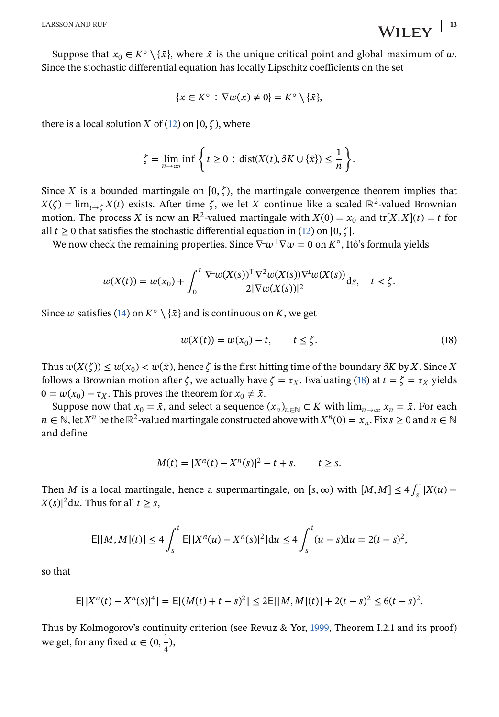Suppose that  $x_0 \in K^{\circ} \setminus {\bar{x}}$ , where  $\bar{x}$  is the unique critical point and global maximum of  $w$ . Since the stochastic differential equation has locally Lipschitz coefficients on the set

$$
\{x \in K^{\circ} : \nabla w(x) \neq 0\} = K^{\circ} \setminus \{\bar{x}\},\
$$

there is a local solution X of [\(12\)](#page-8-0) on [0,  $\zeta$ ), where

$$
\zeta = \lim_{n \to \infty} \inf \left\{ t \ge 0 : \text{dist}(X(t), \partial K \cup \{\bar{x}\}) \le \frac{1}{n} \right\}.
$$

Since X is a bounded martingale on  $[0, \zeta)$ , the martingale convergence theorem implies that  $X(\zeta) = \lim_{t \to \zeta} X(t)$  exists. After time  $\zeta$ , we let X continue like a scaled ℝ<sup>2</sup>-valued Brownian motion. The process X is now an ℝ<sup>2</sup>-valued martingale with  $X(0) = x_0$  and tr[X, X](t) = t for all  $t \geq 0$  that satisfies the stochastic differential equation in [\(12\)](#page-8-0) on [0,  $\zeta$ ].

We now check the remaining properties. Since  $\nabla^{\perp}w^{\perp}\nabla w = 0$  on  $K^{\circ}$ , Itô's formula yields

$$
w(X(t)) = w(x_0) + \int_0^t \frac{\nabla^{\perp} w(X(s))^\top \nabla^2 w(X(s)) \nabla^{\perp} w(X(s))}{2|\nabla w(X(s))|^2} ds, \quad t < \zeta.
$$

Since w satisfies [\(14\)](#page-8-0) on  $K^{\circ} \setminus {\bar{x}}$  and is continuous on K, we get

$$
w(X(t)) = w(x_0) - t, \qquad t \le \zeta. \tag{18}
$$

Thus  $w(X(\zeta)) \leq w(x_0) < w(\bar{x})$ , hence  $\zeta$  is the first hitting time of the boundary  $\partial K$  by X. Since X follows a Brownian motion after  $\zeta$ , we actually have  $\zeta = \tau_x$ . Evaluating (18) at  $t = \zeta = \tau_x$  yields  $0 = w(x_0) - \tau_X$ . This proves the theorem for  $x_0 \neq \bar{x}$ .

Suppose now that  $x_0 = \bar{x}$ , and select a sequence  $(x_n)_{n \in \mathbb{N}} \subset K$  with  $\lim_{n \to \infty} x_n = \bar{x}$ . For each  $n \in \mathbb{N}$ , let  $X^n$  be the  $\mathbb{R}^2$ -valued martingale constructed above with  $X^n(0) = x_n$ . Fix  $s \geq 0$  and  $n \in \mathbb{N}$ and define

$$
M(t) = |X^n(t) - X^n(s)|^2 - t + s, \qquad t \ge s.
$$

Then M is a local martingale, hence a supermartingale, on  $[s, \infty)$  with  $[M, M] \le 4 \int_s^1 |X(u) - \hat{X}(s)|^2 ds$  $|X(s)|^2 du$ . Thus for all  $t \geq s$ ,

$$
E[[M,M](t)] \le 4 \int_s^t E[|X^n(u) - X^n(s)|^2] du \le 4 \int_s^t (u-s) du = 2(t-s)^2,
$$

so that

$$
E[|X^n(t) - X^n(s)|^4] = E[(M(t) + t - s)^2] \le 2E[[M, M](t)] + 2(t - s)^2 \le 6(t - s)^2.
$$

Thus by Kolmogorov's continuity criterion (see Revuz & Yor, [1999,](#page-21-0) Theorem I.2.1 and its proof) we get, for any fixed  $\alpha \in (0, \frac{1}{4}),$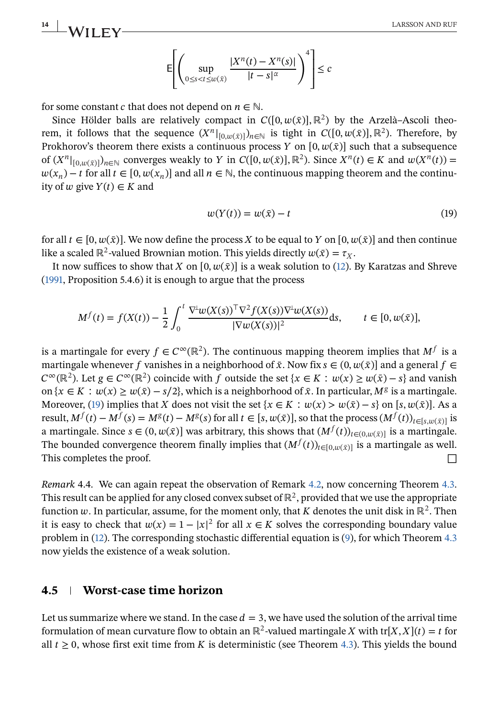<span id="page-13-0"></span>**14 LARSSON AND RUF LARSSON AND RUF** 

$$
\mathsf{E}\!\!\left[\left(\sup_{0\leq s
$$

for some constant *c* that does not depend on  $n \in \mathbb{N}$ .

Since Hölder balls are relatively compact in  $C([0, w(\bar{x})], \mathbb{R}^2)$  by the Arzelà–Ascoli theorem, it follows that the sequence  $(X^n|_{[0,w(\bar{x})]})_{n\in\mathbb{N}}$  is tight in  $C([0, w(\bar{x})], \mathbb{R}^2)$ . Therefore, by Prokhorov's theorem there exists a continuous process Y on  $[0, w(\bar{x})]$  such that a subsequence of  $(X^n|_{[0,w(\bar{x})]})_{n\in\mathbb{N}}$  converges weakly to Y in  $C([0,w(\bar{x})], \mathbb{R}^2)$ . Since  $X^n(t) \in K$  and  $w(X^n(t)) =$  $w(x_n) - t$  for all  $t \in [0, w(x_n)]$  and all  $n \in \mathbb{N}$ , the continuous mapping theorem and the continuity of  $w$  give  $Y(t) \in K$  and

$$
w(Y(t)) = w(\bar{x}) - t \tag{19}
$$

for all  $t \in [0, w(\bar{x})]$ . We now define the process X to be equal to Y on  $[0, w(\bar{x})]$  and then continue like a scaled ℝ<sup>2</sup>-valued Brownian motion. This yields directly  $w(\bar{x}) = \tau_x$ .

It now suffices to show that X on  $[0, w(\bar{x})]$  is a weak solution to [\(12\)](#page-8-0). By Karatzas and Shreve [\(1991,](#page-21-0) Proposition 5.4.6) it is enough to argue that the process

$$
M^f(t) = f(X(t)) - \frac{1}{2} \int_0^t \frac{\nabla^{\perp} w(X(s))^\top \nabla^2 f(X(s)) \nabla^{\perp} w(X(s))}{|\nabla w(X(s))|^2} ds, \qquad t \in [0, w(\bar{x})],
$$

is a martingale for every  $f \in C^{\infty}(\mathbb{R}^2)$ . The continuous mapping theorem implies that  $M^f$  is a martingale whenever f vanishes in a neighborhood of  $\bar{x}$ . Now fix  $s \in (0, w(\bar{x}))$  and a general  $f \in$  $C^{\infty}(\mathbb{R}^2)$ . Let  $g \in C^{\infty}(\mathbb{R}^2)$  coincide with f outside the set  $\{x \in K : w(x) \ge w(\bar{x}) - s\}$  and vanish on  $\{x \in K : w(x) \ge w(\bar{x}) - s/2\}$ , which is a neighborhood of  $\bar{x}$ . In particular,  $M^g$  is a martingale. Moreover, (19) implies that X does not visit the set  $\{x \in K : w(x) > w(\bar{x}) - s\}$  on [s,  $w(\bar{x})$ ]. As a result,  $M^f(t) - M^f(s) = M^g(t) - M^g(s)$  for all  $t \in [s, w(\bar{x})]$ , so that the process  $(M^f(t))_{t \in [s, w(\bar{x})]}$  is a martingale. Since  $s \in (0, w(\bar{x})]$  was arbitrary, this shows that  $(M^f(t))_{t \in (0, w(\bar{x})]}$  is a martingale. The bounded convergence theorem finally implies that  $(M^f(t))_{t\in[0,w(\bar{x})]}$  is a martingale as well. This completes the proof. □

*Remark* 4.4. We can again repeat the observation of Remark [4.2,](#page-11-0) now concerning Theorem [4.3.](#page-11-0) This result can be applied for any closed convex subset of  $\mathbb{R}^2$ , provided that we use the appropriate function w. In particular, assume, for the moment only, that K denotes the unit disk in  $\mathbb{R}^2$ . Then it is easy to check that  $w(x) = 1 - |x|^2$  for all  $x \in K$  solves the corresponding boundary value problem in [\(12\)](#page-8-0). The corresponding stochastic differential equation is [\(9\)](#page-7-0), for which Theorem [4.3](#page-11-0) now yields the existence of a weak solution.

# **4.5 Worst-case time horizon**

Let us summarize where we stand. In the case  $d=3$ , we have used the solution of the arrival time formulation of mean curvature flow to obtain an ℝ<sup>2</sup>-valued martingale X with tr[X, X](t) = t for all  $t > 0$ , whose first exit time from K is deterministic (see Theorem [4.3\)](#page-11-0). This yields the bound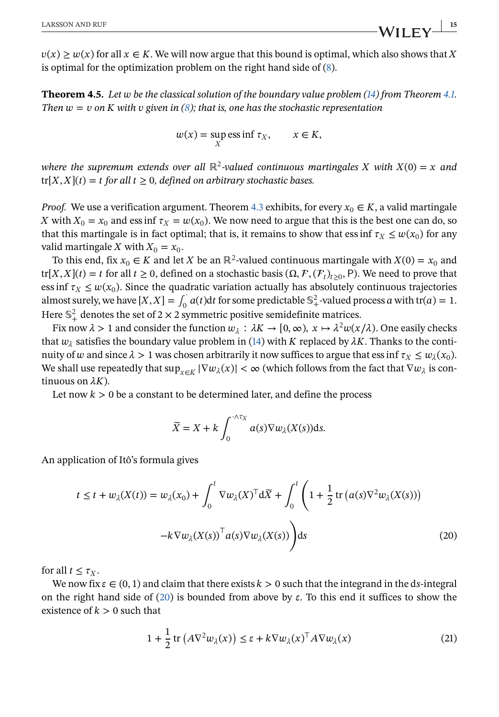<span id="page-14-0"></span> $v(x) \geq w(x)$  for all  $x \in K$ . We will now argue that this bound is optimal, which also shows that X is optimal for the optimization problem on the right hand side of [\(8\)](#page-6-0).

**Theorem 4.5.** *Let be the classical solution of the boundary value problem [\(14\)](#page-8-0) from Theorem [4.1.](#page-10-0) Then*  $w = v$  on K with  $v$  given in [\(8\)](#page-6-0); that is, one has the stochastic representation

$$
w(x) = \sup_X \operatorname{ess} \inf \tau_X, \qquad x \in K,
$$

*where the supremum extends over all* ℝ<sup>2</sup>-valued continuous martingales X with  $X(0) = x$  and  $tr[X, X](t) = t$  for all  $t \geq 0$ , defined on arbitrary stochastic bases.

*Proof.* We use a verification argument. Theorem [4.3](#page-11-0) exhibits, for every  $x_0 \in K$ , a valid martingale X with  $X_0 = x_0$  and ess inf  $\tau_X = w(x_0)$ . We now need to argue that this is the best one can do, so that this martingale is in fact optimal; that is, it remains to show that ess inf  $\tau_x \leq w(x_0)$  for any valid martingale X with  $X_0 = x_0$ .

To this end, fix  $x_0 \in K$  and let X be an ℝ<sup>2</sup>-valued continuous martingale with  $X(0) = x_0$  and tr[X, X](t) = t for all  $t \ge 0$ , defined on a stochastic basis  $(\Omega, \mathcal{F}, (\mathcal{F}_t)_{t>0}, P)$ . We need to prove that ess inf  $\tau_X \leq w(x_0)$ . Since the quadratic variation actually has absolutely continuous trajectories almost surely, we have  $[X, X] = \int_0^1 a(t) dt$  for some predictable  $\mathbb{S}^2_+$ -valued process a with tr(a) = 1. Here  $\mathbb{S}^2_+$  denotes the set of 2 × 2 symmetric positive semidefinite matrices.

Fix now  $\lambda > 1$  and consider the function  $w_{\lambda} : \lambda K \to [0, \infty), x \mapsto \lambda^2 w(x/\lambda)$ . One easily checks that  $w_{\lambda}$  satisfies the boundary value problem in [\(14\)](#page-8-0) with K replaced by  $\lambda K$ . Thanks to the continuity of w and since  $\lambda > 1$  was chosen arbitrarily it now suffices to argue that ess inf  $\tau_X \leq w_\lambda(x_0)$ . We shall use repeatedly that  $\sup_{x \in K} |\nabla w_\lambda(x)| < \infty$  (which follows from the fact that  $\nabla w_\lambda$  is continuous on  $\lambda K$ ).

Let now  $k > 0$  be a constant to be determined later, and define the process

$$
\widetilde{X} = X + k \int_0^{\cdot \wedge \tau_X} a(s) \nabla w_\lambda(X(s)) \mathrm{d} s.
$$

An application of Itô's formula gives

$$
t \le t + w_{\lambda}(X(t)) = w_{\lambda}(x_0) + \int_0^t \nabla w_{\lambda}(X)^\top d\tilde{X} + \int_0^t \left(1 + \frac{1}{2} \operatorname{tr}\left(a(s)\nabla^2 w_{\lambda}(X(s))\right) - k \nabla w_{\lambda}(X(s))^\top a(s)\nabla w_{\lambda}(X(s))\right) ds
$$
\n(20)

for all  $t \leq \tau_X$ .

We now fix  $\varepsilon \in (0,1)$  and claim that there exists  $k > 0$  such that the integrand in the ds-integral on the right hand side of  $(20)$  is bounded from above by  $\varepsilon$ . To this end it suffices to show the existence of  $k > 0$  such that

$$
1 + \frac{1}{2} \operatorname{tr} \left( A \nabla^2 w_\lambda(x) \right) \le \varepsilon + k \nabla w_\lambda(x)^\top A \nabla w_\lambda(x) \tag{21}
$$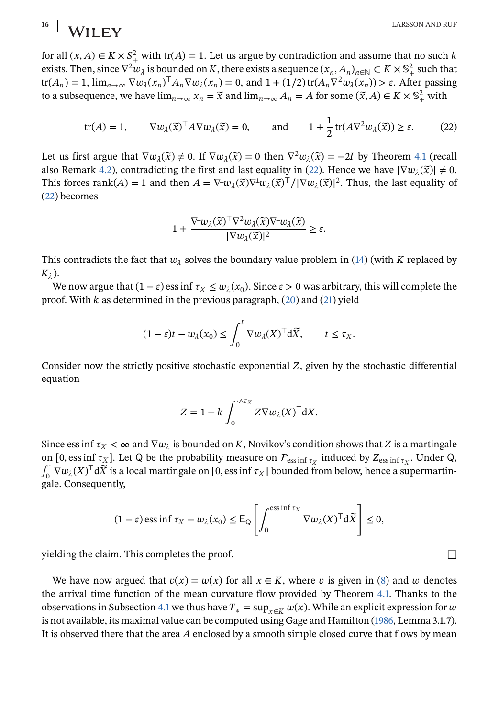for all  $(x, A) \in K \times S^2$  with tr $(A) = 1$ . Let us argue by contradiction and assume that no such k exists. Then, since  $\nabla^2 w_\lambda$  is bounded on K, there exists a sequence  $(x_n, A_n)_{n \in \mathbb{N}} \subset K \times \mathbb{S}^2_+$  such that tr( $A_n$ ) = 1,  $\lim_{n\to\infty} \nabla w_\lambda(x_n)^\top A_n \nabla w_\lambda(x_n) = 0$ , and  $1 + (1/2) \text{tr}(A_n \nabla^2 w_\lambda(x_n)) > \varepsilon$ . After passing to a subsequence, we have  $\lim_{n\to\infty} x_n = \tilde{x}$  and  $\lim_{n\to\infty} A_n = A$  for some  $(\tilde{x}, A) \in K \times \mathbb{S}^2_+$  with

$$
\text{tr}(A) = 1, \qquad \nabla w_{\lambda}(\widetilde{x})^{\top} A \nabla w_{\lambda}(\widetilde{x}) = 0, \qquad \text{and} \qquad 1 + \frac{1}{2} \text{tr}(A \nabla^2 w_{\lambda}(\widetilde{x})) \ge \varepsilon. \tag{22}
$$

Let us first argue that  $\nabla w_{\lambda}(\tilde{x}) \neq 0$ . If  $\nabla w_{\lambda}(\tilde{x}) = 0$  then  $\nabla^2 w_{\lambda}(\tilde{x}) = -2I$  by Theorem [4.1](#page-10-0) (recall also Remark [4.2\)](#page-11-0), contradicting the first and last equality in (22). Hence we have  $|\nabla w_{\lambda}(\tilde{x})| \neq 0$ . This forces rank(A) = 1 and then  $A = \nabla^{\perp} w_{\lambda}(\tilde{x}) \nabla^{\perp} w_{\lambda}(\tilde{x})^{\top} / |\nabla w_{\lambda}(\tilde{x})|^2$ . Thus, the last equality of (22) becomes

$$
1 + \frac{\nabla^{\perp} w_{\lambda}(\widetilde{x})^{\top} \nabla^2 w_{\lambda}(\widetilde{x}) \nabla^{\perp} w_{\lambda}(\widetilde{x})}{|\nabla w_{\lambda}(\widetilde{x})|^2} \geq \varepsilon.
$$

This contradicts the fact that  $w_{\lambda}$  solves the boundary value problem in [\(14\)](#page-8-0) (with K replaced by  $K_{\lambda}$ ).

We now argue that  $(1 - \varepsilon)$  ess inf  $\tau_X \leq w_\lambda(x_0)$ . Since  $\varepsilon > 0$  was arbitrary, this will complete the proof. With  $k$  as determined in the previous paragraph,  $(20)$  and  $(21)$  yield

$$
(1 - \varepsilon)t - w_{\lambda}(x_0) \le \int_0^t \nabla w_{\lambda}(X)^\top d\tilde{X}, \qquad t \le \tau_X.
$$

Consider now the strictly positive stochastic exponential  $Z$ , given by the stochastic differential equation

$$
Z = 1 - k \int_0^{\sqrt{x_X}} Z \nabla w_\lambda(X)^\top dX.
$$

Since ess inf  $\tau_X < \infty$  and  $\nabla w_\lambda$  is bounded on K, Novikov's condition shows that Z is a martingale on [0, ess inf  $\tau_X$ ]. Let Q be the probability measure on  $\mathcal{F}_{\text{ess inf } \tau_X}$  induced by  $Z_{\text{ess inf } \tau_X}$ . Under Q,  $\int_0^\cdot \nabla w_\lambda(X)^\top d\tilde{X}$  is a local martingale on [0, ess inf  $\tau_X$ ] bounded from below, hence a supermartingale. Consequently,

$$
(1 - \varepsilon) \operatorname{ess} \inf \tau_X - w_\lambda(x_0) \leq E_Q \left[ \int_0^{\operatorname{ess} \inf \tau_X} \nabla w_\lambda(X)^\top d\widetilde{X} \right] \leq 0,
$$

yielding the claim. This completes the proof.  $\Box$ 

We have now argued that  $v(x) = w(x)$  for all  $x \in K$ , where v is given in [\(8\)](#page-6-0) and w denotes the arrival time function of the mean curvature flow provided by Theorem [4.1.](#page-10-0) Thanks to the observations in Subsection [4.1](#page-5-0) we thus have  $T_* = \sup_{x \in K} w(x)$ . While an explicit expression for w is not available, its maximal value can be computed using Gage and Hamilton [\(1986,](#page-21-0) Lemma 3.1.7). It is observed there that the area  $A$  enclosed by a smooth simple closed curve that flows by mean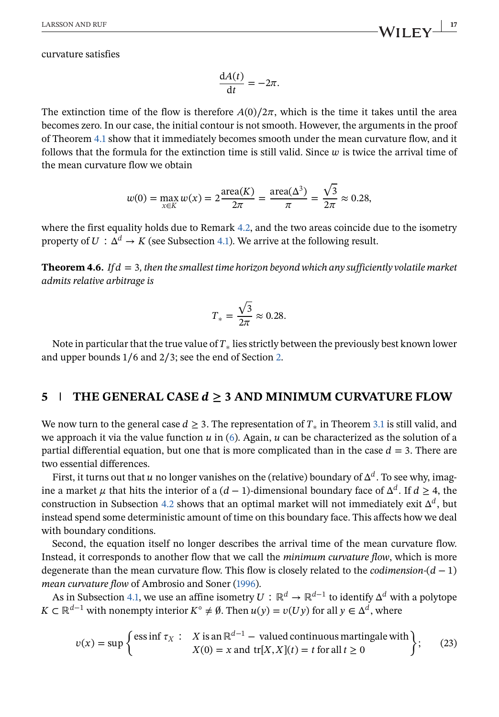<span id="page-16-0"></span>curvature satisfies

$$
\frac{\mathrm{d}A(t)}{\mathrm{d}t} = -2\pi.
$$

The extinction time of the flow is therefore  $A(0)/2\pi$ , which is the time it takes until the area becomes zero. In our case, the initial contour is not smooth. However, the arguments in the proof of Theorem [4.1](#page-10-0) show that it immediately becomes smooth under the mean curvature flow, and it follows that the formula for the extinction time is still valid. Since  $w$  is twice the arrival time of the mean curvature flow we obtain

$$
w(0) = \max_{x \in K} w(x) = 2 \frac{\text{area}(K)}{2\pi} = \frac{\text{area}(\Delta^3)}{\pi} = \frac{\sqrt{3}}{2\pi} \approx 0.28,
$$

where the first equality holds due to Remark [4.2,](#page-11-0) and the two areas coincide due to the isometry property of  $U: \Delta^d \to K$  (see Subsection [4.1\)](#page-5-0). We arrive at the following result.

**Theorem 4.6.** *If*  $d = 3$ *, then the smallest time horizon beyond which any sufficiently volatile market admits relative arbitrage is*

$$
T_* = \frac{\sqrt{3}}{2\pi} \approx 0.28.
$$

Note in particular that the true value of  $T_*$  lies strictly between the previously best known lower and upper bounds 1∕6 and 2∕3; see the end of Section [2.](#page-2-0)

### **5**  $\blacksquare$  **THE GENERAL CASE**  $d \geq 3$  AND MINIMUM CURVATURE FLOW

We now turn to the general case  $d \geq 3$ . The representation of  $T_*$  in Theorem [3.1](#page-4-0) is still valid, and we approach it via the value function  $u$  in [\(6\)](#page-5-0). Again,  $u$  can be characterized as the solution of a partial differential equation, but one that is more complicated than in the case  $d = 3$ . There are two essential differences.

First, it turns out that u no longer vanishes on the (relative) boundary of  $\Delta^d$ . To see why, imagine a market  $\mu$  that hits the interior of a (d – 1)-dimensional boundary face of  $\Delta^d$ . If  $d \geq 4$ , the construction in Subsection [4.2](#page-7-0) shows that an optimal market will not immediately exit  $\Delta^{d}$ , but instead spend some deterministic amount of time on this boundary face. This affects how we deal with boundary conditions.

Second, the equation itself no longer describes the arrival time of the mean curvature flow. Instead, it corresponds to another flow that we call the *minimum curvature flow*, which is more degenerate than the mean curvature flow. This flow is closely related to the *codimension-* $(d - 1)$ *mean curvature flow* of Ambrosio and Soner [\(1996\)](#page-20-0).

As in Subsection [4.1,](#page-5-0) we use an affine isometry  $U:\mathbb{R}^d \to \mathbb{R}^{d-1}$  to identify  $\Delta^d$  with a polytope  $K \subset \mathbb{R}^{d-1}$  with nonempty interior  $K^{\circ} \neq \emptyset$ . Then  $u(y) = v(Uy)$  for all  $y \in \Delta^d$ , where

$$
v(x) = \sup \begin{cases} \text{ess inf } \tau_X : & X \text{ is an } \mathbb{R}^{d-1} - \text{ valued continuous martingale with} \\ & X(0) = x \text{ and } \text{tr}[X, X](t) = t \text{ for all } t \ge 0 \end{cases}
$$
 (23)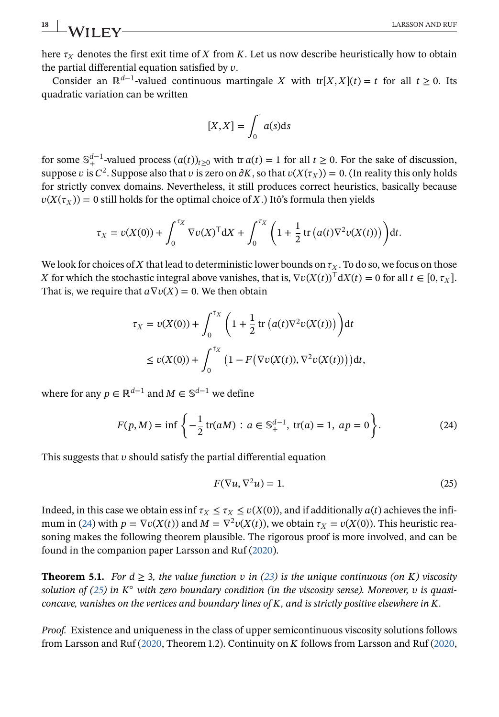here  $\tau_X$  denotes the first exit time of X from K. Let us now describe heuristically how to obtain the partial differential equation satisfied by  $v$ .

Consider an ℝ<sup>d-1</sup>-valued continuous martingale X with tr[X, X](t) = t for all  $t > 0$ . Its quadratic variation can be written

$$
[X,X] = \int_0^1 a(s) \mathrm{d}s
$$

for some  $\mathbb{S}_{+}^{d-1}$ -valued process  $(a(t))_{t\geq0}$  with tr  $a(t) = 1$  for all  $t \geq 0$ . For the sake of discussion, suppose v is  $C^2$ . Suppose also that v is zero on  $\partial K$ , so that  $v(X(\tau_X)) = 0$ . (In reality this only holds for strictly convex domains. Nevertheless, it still produces correct heuristics, basically because  $v(X(\tau_X)) = 0$  still holds for the optimal choice of X.) Itô's formula then yields

$$
\tau_X = \nu(X(0)) + \int_0^{\tau_X} \nabla \nu(X)^\top dX + \int_0^{\tau_X} \left(1 + \frac{1}{2} \operatorname{tr} \left( a(t) \nabla^2 \nu(X(t)) \right) \right) dt.
$$

We look for choices of X that lead to deterministic lower bounds on  $\tau_X$ . To do so, we focus on those *K* for which the stochastic integral above vanishes, that is,  $\nabla v(X(t))$ <sup>T</sup>d $X(t) = 0$  for all  $t \in [0, \tau_X]$ . That is, we require that  $a\nabla v(X) = 0$ . We then obtain

$$
\tau_X = \nu(X(0)) + \int_0^{\tau_X} \left( 1 + \frac{1}{2} \operatorname{tr} (a(t) \nabla^2 \nu(X(t))) \right) dt
$$
  
 
$$
\leq \nu(X(0)) + \int_0^{\tau_X} \left( 1 - F(\nabla \nu(X(t)), \nabla^2 \nu(X(t))) \right) dt,
$$

where for any  $p \in \mathbb{R}^{d-1}$  and  $M \in \mathbb{S}^{d-1}$  we define

$$
F(p, M) = \inf \left\{ -\frac{1}{2} \operatorname{tr}(aM) : a \in \mathbb{S}_+^{d-1}, \operatorname{tr}(a) = 1, \, ap = 0 \right\}.
$$
 (24)

This suggests that  $v$  should satisfy the partial differential equation

$$
F(\nabla u, \nabla^2 u) = 1. \tag{25}
$$

Indeed, in this case we obtain ess inf  $\tau_X \leq \tau_X \leq v(X(0))$ , and if additionally  $a(t)$  achieves the infimum in (24) with  $p = \nabla v(X(t))$  and  $M = \nabla^2 v(X(t))$ , we obtain  $\tau_X = v(X(0))$ . This heuristic reasoning makes the following theorem plausible. The rigorous proof is more involved, and can be found in the companion paper Larsson and Ruf [\(2020\)](#page-21-0).

**Theorem 5.1.** *For*  $d \geq 3$ *, the value function*  $v$  *in* [\(23\)](#page-16-0) *is the unique continuous (on K) viscosity solution of (25) in*  $K^{\circ}$  *with zero boundary condition (in the viscosity sense). Moreover, v is quasiconcave, vanishes on the vertices and boundary lines of K, and is strictly positive elsewhere in K.* 

*Proof.* Existence and uniqueness in the class of upper semicontinuous viscosity solutions follows from Larsson and Ruf [\(2020,](#page-21-0) Theorem 1.2). Continuity on  $K$  follows from Larsson and Ruf (2020,

<span id="page-17-0"></span>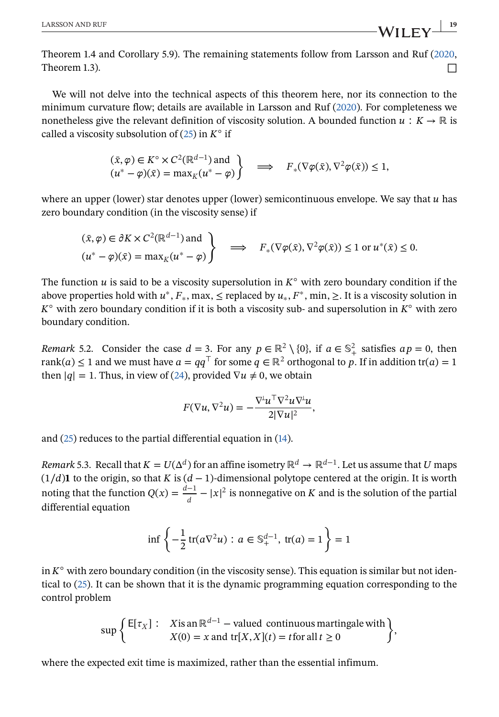Theorem 1.4 and Corollary 5.9). The remaining statements follow from Larsson and Ruf [\(2020,](#page-21-0) Theorem 1.3).  $\Box$ 

We will not delve into the technical aspects of this theorem here, nor its connection to the minimum curvature flow; details are available in Larsson and Ruf [\(2020\)](#page-21-0). For completeness we nonetheless give the relevant definition of viscosity solution. A bounded function  $u: K \to \mathbb{R}$  is called a viscosity subsolution of  $(25)$  in  $K^{\circ}$  if

$$
(\bar{x}, \varphi) \in K^{\circ} \times C^2(\mathbb{R}^{d-1})
$$
 and  
\n $(u^* - \varphi)(\bar{x}) = \max_K(u^* - \varphi)$   $\implies$   $F_*(\nabla \varphi(\bar{x}), \nabla^2 \varphi(\bar{x})) \le 1$ ,

where an upper (lower) star denotes upper (lower) semicontinuous envelope. We say that  $u$  has zero boundary condition (in the viscosity sense) if

$$
(\bar{x}, \varphi) \in \partial K \times C^2(\mathbb{R}^{d-1}) \text{ and } \left\{ (u^* - \varphi)(\bar{x}) = \max_K(u^* - \varphi) \right\} \implies F_*(\nabla \varphi(\bar{x}), \nabla^2 \varphi(\bar{x})) \le 1 \text{ or } u^*(\bar{x}) \le 0.
$$

The function  $u$  is said to be a viscosity supersolution in  $K^{\circ}$  with zero boundary condition if the above properties hold with  $u^*, F_*, \max, \le$  replaced by  $u_*, F^*, \min, \ge$ . It is a viscosity solution in  $K^{\circ}$  with zero boundary condition if it is both a viscosity sub- and supersolution in  $K^{\circ}$  with zero boundary condition.

*Remark* 5.2. Consider the case  $d = 3$ . For any  $p \in \mathbb{R}^2 \setminus \{0\}$ , if  $a \in \mathbb{S}^2_+$  satisfies  $ap = 0$ , then rank(a)  $\leq 1$  and we must have  $a = qq^{\top}$  for some  $q \in \mathbb{R}^2$  orthogonal to p. If in addition tr(a) = 1 then  $|q| = 1$ . Thus, in view of [\(24\)](#page-17-0), provided  $\nabla u \neq 0$ , we obtain

$$
F(\nabla u, \nabla^2 u) = -\frac{\nabla^{\perp} u^{\top} \nabla^2 u \nabla^{\perp} u}{2|\nabla u|^2},
$$

and [\(25\)](#page-17-0) reduces to the partial differential equation in [\(14\)](#page-8-0).

*Remark* 5.3. Recall that  $K = U(\Delta^d)$  for an affine isometry  $\mathbb{R}^d \to \mathbb{R}^{d-1}$ . Let us assume that U maps  $(1/d)$ 1 to the origin, so that K is  $(d-1)$ -dimensional polytope centered at the origin. It is worth noting that the function  $Q(x) = \frac{d-1}{d} - |x|^2$  is nonnegative on K and is the solution of the partial differential equation

$$
\inf \left\{ -\frac{1}{2} \operatorname{tr} (a \nabla^2 u) : a \in \mathbb{S}_+^{d-1}, \ \operatorname{tr} (a) = 1 \right\} = 1
$$

in  $K^{\circ}$  with zero boundary condition (in the viscosity sense). This equation is similar but not identical to [\(25\)](#page-17-0). It can be shown that it is the dynamic programming equation corresponding to the control problem

$$
\sup \left\{ \begin{aligned} &\mathsf{E}[\tau_X] : & \text{X is an } \mathbb{R}^{d-1} - \text{valued continuous martingale with} \\ & X(0) = x \text{ and } \text{tr}[X, X](t) = t \text{ for all } t \ge 0 \end{aligned} \right\},
$$

where the expected exit time is maximized, rather than the essential infimum.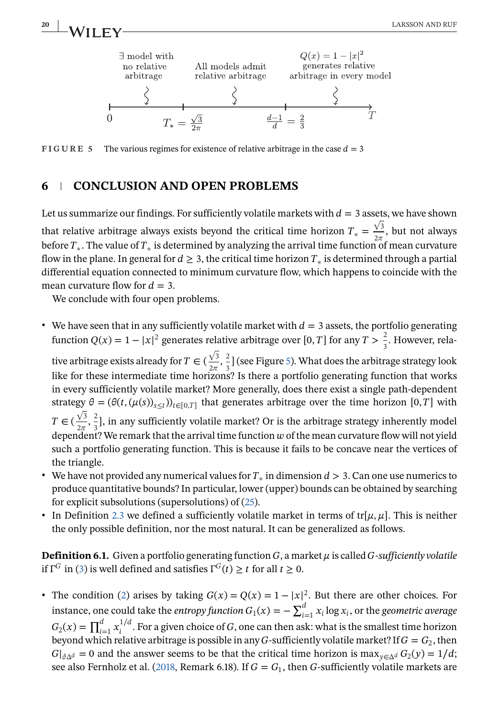<span id="page-19-0"></span>

**FIGURE 5** The various regimes for existence of relative arbitrage in the case  $d = 3$ 

### **6 CONCLUSION AND OPEN PROBLEMS**

Let us summarize our findings. For sufficiently volatile markets with  $d=3$  assets, we have shown that relative arbitrage always exists beyond the critical time horizon  $T_* = \frac{\sqrt{3}}{2\pi}$ , but not always before  $T_*$ . The value of  $T_*$  is determined by analyzing the arrival time function of mean curvature flow in the plane. In general for  $d \geq 3$ , the critical time horizon  $T_*$  is determined through a partial differential equation connected to minimum curvature flow, which happens to coincide with the mean curvature flow for  $d = 3$ .

We conclude with four open problems.

• We have seen that in any sufficiently volatile market with  $d=3$  assets, the portfolio generating function  $Q(x) = 1 - |x|^2$  generates relative arbitrage over [0, T] for any  $T > \frac{2}{3}$ . However, rela-

tive arbitrage exists already for  $T \in (\frac{\sqrt{3}}{2\pi}, \frac{2}{3})$  $\frac{2}{3}$ ] (see Figure 5). What does the arbitrage strategy look like for these intermediate time horizons? Is there a portfolio generating function that works in every sufficiently volatile market? More generally, does there exist a single path-dependent strategy  $\theta = (\theta(t, (\mu(s))_{s \le t}))_{t \in [0,T]}$  that generates arbitrage over the time horizon  $[0,T]$  with  $T \in (\frac{\sqrt{3}}{2\pi}, \frac{2}{3})$  $\frac{2}{3}$ , in any sufficiently volatile market? Or is the arbitrage strategy inherently model dependent? We remark that the arrival time function  $w$  of the mean curvature flow will not yield such a portfolio generating function. This is because it fails to be concave near the vertices of the triangle.

- We have not provided any numerical values for  $T_*$  in dimension  $d > 3$ . Can one use numerics to produce quantitative bounds? In particular, lower (upper) bounds can be obtained by searching for explicit subsolutions (supersolutions) of [\(25\)](#page-17-0).
- In Definition [2.3](#page-3-0) we defined a sufficiently volatile market in terms of tr[ $\mu$ ,  $\mu$ ]. This is neither the only possible definition, nor the most natural. It can be generalized as follows.

**Definition 6.1.** Given a portfolio generating function  $G$ , a market  $\mu$  is called  $G$ -sufficiently volatile if  $\Gamma^G$  in [\(3\)](#page-3-0) is well defined and satisfies  $\Gamma^G(t) \ge t$  for all  $t \ge 0$ .

• The condition [\(2\)](#page-1-0) arises by taking  $G(x) = Q(x) = 1 - |x|^2$ . But there are other choices. For instance, one could take the *entropy function*  $G_1(x) = -\sum_{i=1}^d x_i \log x_i$ , or the *geometric average*  $G_2(x) = \prod_{i=1}^d x_i^{1/d}$ . For a given choice of G, one can then ask: what is the smallest time horizon beyond which relative arbitrage is possible in any G-sufficiently volatile market? If  $G=G_2$ , then  $|G|_{\partial \Delta^d} = 0$  and the answer seems to be that the critical time horizon is max $_{v \in \Delta^d} G_2(y) = 1/d;$ see also Fernholz et al. [\(2018,](#page-21-0) Remark 6.18). If  $G = G_1$ , then G-sufficiently volatile markets are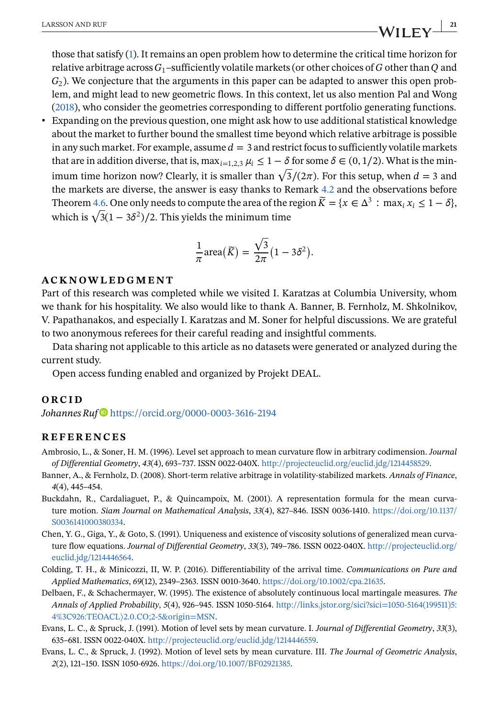<span id="page-20-0"></span>those that satisfy [\(1\)](#page-0-0). It remains an open problem how to determine the critical time horizon for relative arbitrage across  $G_1$ -sufficiently volatile markets (or other choices of G other than Q and  $G<sub>2</sub>$ ). We conjecture that the arguments in this paper can be adapted to answer this open problem, and might lead to new geometric flows. In this context, let us also mention Pal and Wong [\(2018\)](#page-21-0), who consider the geometries corresponding to different portfolio generating functions. ∙ Expanding on the previous question, one might ask how to use additional statistical knowledge about the market to further bound the smallest time beyond which relative arbitrage is possible in any such market. For example, assume  $d=3$  and restrict focus to sufficiently volatile markets that are in addition diverse, that is, max<sub>i=1,2,3</sub>  $\mu_i \leq 1-\delta$  for some  $\delta \in (0,1/2)$ . What is the minthat are in addition diverse, that is,  $\max_{i=1,2,3} \mu_i \le 1 - \sigma$  for some  $\sigma \in (0, 1/2)$ . What is the finin-<br>imum time horizon now? Clearly, it is smaller than  $\sqrt{3}/(2\pi)$ . For this setup, when  $d = 3$  and the markets are diverse, the answer is easy thanks to Remark [4.2](#page-11-0) and the observations before Theorem [4.6.](#page-16-0) One only needs to compute the area of the region  $\widetilde{K} = \{x \in \Delta^3 : \max_i x_i \leq 1 - \delta\}$ , 1 neorem 4.6. One only needs to compute the area of the i<br>which is  $\sqrt{3}(1-3\delta^2)/2$ . This yields the minimum time

$$
\frac{1}{\pi} \text{area}(\widetilde{K}) = \frac{\sqrt{3}}{2\pi} (1 - 3\delta^2).
$$

#### **ACKNOWLEDGMENT**

Part of this research was completed while we visited I. Karatzas at Columbia University, whom we thank for his hospitality. We also would like to thank A. Banner, B. Fernholz, M. Shkolnikov, V. Papathanakos, and especially I. Karatzas and M. Soner for helpful discussions. We are grateful to two anonymous referees for their careful reading and insightful comments.

Data sharing not applicable to this article as no datasets were generated or analyzed during the current study.

Open access funding enabled and organized by Projekt DEAL.

#### **ORCID**

*Johannes Ruf* <https://orcid.org/0000-0003-3616-2194>

#### **REFERENCES**

- Ambrosio, L., & Soner, H. M. (1996). Level set approach to mean curvature flow in arbitrary codimension. *Journal of Differential Geometry*, *43*(4), 693–737. ISSN 0022-040X. [http://projecteuclid.org/euclid.jdg/1214458529.](http://projecteuclid.org/euclid.jdg/1214458529)
- Banner, A., & Fernholz, D. (2008). Short-term relative arbitrage in volatility-stabilized markets. *Annals of Finance*, *4*(4), 445–454.
- Buckdahn, R., Cardaliaguet, P., & Quincampoix, M. (2001). A representation formula for the mean curvature motion. *Siam Journal on Mathematical Analysis*, *33*(4), 827–846. ISSN 0036-1410. [https://doi.org/10.1137/](https://doi.org/10.1137/S0036141000380334) [S0036141000380334.](https://doi.org/10.1137/S0036141000380334)
- Chen, Y. G., Giga, Y., & Goto, S. (1991). Uniqueness and existence of viscosity solutions of generalized mean curvature flow equations. *Journal of Differential Geometry*, *33*(3), 749–786. ISSN 0022-040X. [http://projecteuclid.org/](http://projecteuclid.org/euclid.jdg/1214446564) [euclid.jdg/1214446564.](http://projecteuclid.org/euclid.jdg/1214446564)
- Colding, T. H., & Minicozzi, II, W. P. (2016). Differentiability of the arrival time. *Communications on Pure and Applied Mathematics*, *69*(12), 2349–2363. ISSN 0010-3640. [https://doi.org/10.1002/cpa.21635.](https://doi.org/10.1002/cpa.21635)
- Delbaen, F., & Schachermayer, W. (1995). The existence of absolutely continuous local martingale measures. *The Annals of Applied Probability*, *5*(4), 926–945. ISSN 1050-5164. [http://links.jstor.org/sici?sici=1050-5164\(199511\)5:](http://links.jstor.org/sici%3Fsici=1050-5164%28199511%295%3A4%3C926%3ATEOACL%3E2.0.CO;2-5origin=MSN) 4%3C926:TEOACL⟩[2.0.CO;2-5&origin=MSN.](http://links.jstor.org/sici%3Fsici=1050-5164%28199511%295%3A4%3C926%3ATEOACL%3E2.0.CO;2-5origin=MSN)
- Evans, L. C., & Spruck, J. (1991). Motion of level sets by mean curvature. I. *Journal of Differential Geometry*, *33*(3), 635–681. ISSN 0022-040X. [http://projecteuclid.org/euclid.jdg/1214446559.](http://projecteuclid.org/euclid.jdg/1214446559)
- Evans, L. C., & Spruck, J. (1992). Motion of level sets by mean curvature. III. *The Journal of Geometric Analysis*, *2*(2), 121–150. ISSN 1050-6926. [https://doi.org/10.1007/BF02921385.](https://doi.org/10.1007/BF02921385)